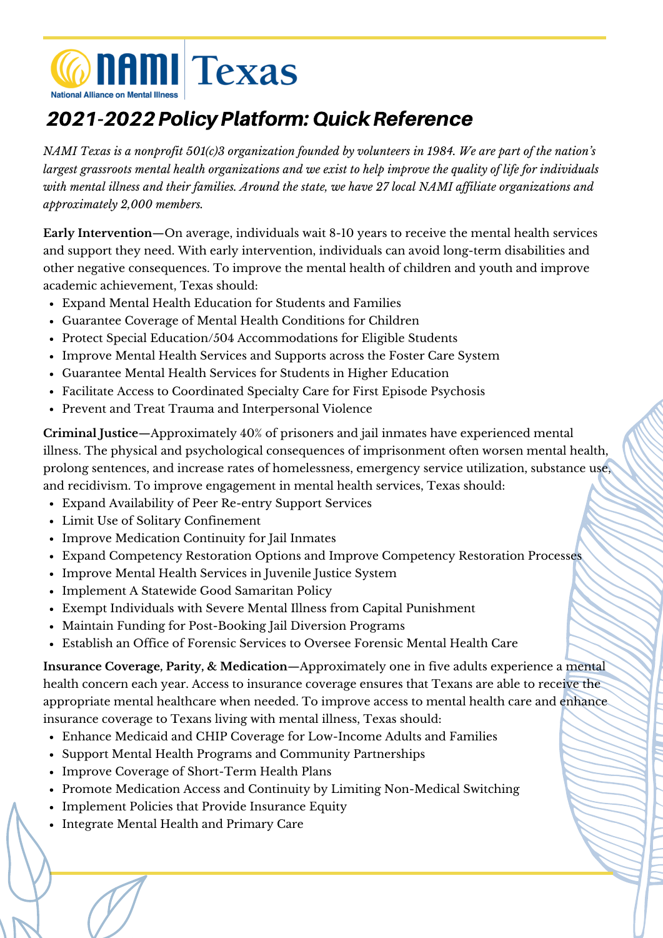

## 2021-2022PolicyPlatform:QuickReference

NAMI Texas is a nonprofit 501(c)3 organization founded by volunteers in 1984. We are part of the nation's largest grassroots mental health organizations and we exist to help improve the quality of life for individuals with mental illness and their families. Around the state, we have 27 local NAMI affiliate organizations and *approximately 2,000 members.*

**Early Intervention**—On average, individuals wait 8-10 years to receive the mental health services and support they need. With early intervention, individuals can avoid long-term disabilities and other negative consequences. To improve the mental health of children and youth and improve academic achievement, Texas should:

- Expand Mental Health Education for Students and Families
- Guarantee Coverage of Mental Health Conditions for Children
- Protect Special Education/504 Accommodations for Eligible Students
- Improve Mental Health Services and Supports across the Foster Care System
- Guarantee Mental Health Services for Students in Higher Education
- Facilitate Access to Coordinated Specialty Care for First Episode Psychosis
- Prevent and Treat Trauma and Interpersonal Violence

**Criminal Justice**—Approximately 40% of prisoners and jail inmates have experienced mental illness. The physical and psychological consequences of imprisonment often worsen mental health, prolong sentences, and increase rates of homelessness, emergency service utilization, substance use, and recidivism. To improve engagement in mental health services, Texas should:

- Expand Availability of Peer Re-entry Support Services
- Limit Use of Solitary Confinement
- Improve Medication Continuity for Jail Inmates
- Expand Competency Restoration Options and Improve Competency Restoration Processes
- Improve Mental Health Services in Juvenile Justice System
- Implement A Statewide Good Samaritan Policy
- Exempt Individuals with Severe Mental Illness from Capital Punishment
- Maintain Funding for Post-Booking Jail Diversion Programs
- Establish an Office of Forensic Services to Oversee Forensic Mental Health Care

**Insurance Coverage, Parity, & Medication**—Approximately one in five adults experience a mental health concern each year. Access to insurance coverage ensures that Texans are able to receive the appropriate mental healthcare when needed. To improve access to mental health care and enhance insurance coverage to Texans living with mental illness, Texas should:

- Enhance Medicaid and CHIP Coverage for Low-Income Adults and Families
- Support Mental Health Programs and Community Partnerships
- Improve Coverage of Short-Term Health Plans
- Promote Medication Access and Continuity by Limiting Non-Medical Switching
- Implement Policies that Provide Insurance Equity
- Integrate Mental Health and Primary Care